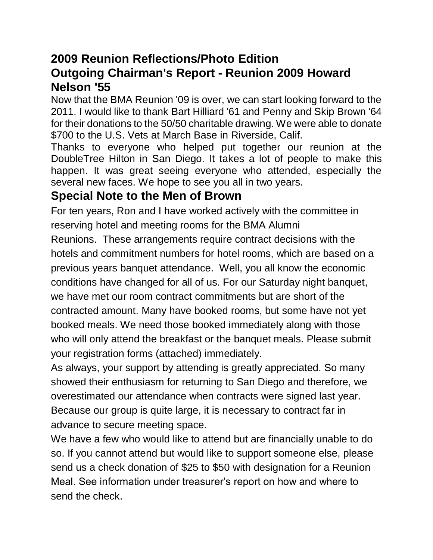## **2009 Reunion Reflections/Photo Edition Outgoing Chairman's Report - Reunion 2009 Howard Nelson '55**

Now that the BMA Reunion '09 is over, we can start looking forward to the 2011. I would like to thank Bart Hilliard '61 and Penny and Skip Brown '64 for their donations to the 50/50 charitable drawing. We were able to donate \$700 to the U.S. Vets at March Base in Riverside, Calif.

Thanks to everyone who helped put together our reunion at the DoubleTree Hilton in San Diego. It takes a lot of people to make this happen. It was great seeing everyone who attended, especially the several new faces. We hope to see you all in two years.

### **Special Note to the Men of Brown**

For ten years, Ron and I have worked actively with the committee in reserving hotel and meeting rooms for the BMA Alumni

Reunions. These arrangements require contract decisions with the hotels and commitment numbers for hotel rooms, which are based on a previous years banquet attendance. Well, you all know the economic conditions have changed for all of us. For our Saturday night banquet, we have met our room contract commitments but are short of the contracted amount. Many have booked rooms, but some have not yet booked meals. We need those booked immediately along with those who will only attend the breakfast or the banquet meals. Please submit your registration forms (attached) immediately.

As always, your support by attending is greatly appreciated. So many showed their enthusiasm for returning to San Diego and therefore, we overestimated our attendance when contracts were signed last year. Because our group is quite large, it is necessary to contract far in advance to secure meeting space.

We have a few who would like to attend but are financially unable to do so. If you cannot attend but would like to support someone else, please send us a check donation of \$25 to \$50 with designation for a Reunion Meal. See information under treasurer's report on how and where to send the check.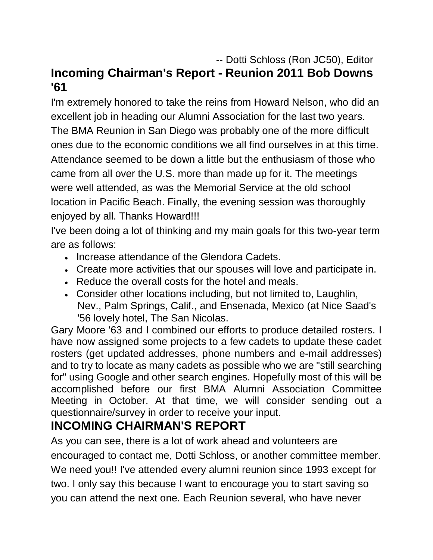-- Dotti Schloss (Ron JC50), Editor

## **Incoming Chairman's Report - Reunion 2011 Bob Downs '61**

I'm extremely honored to take the reins from Howard Nelson, who did an excellent job in heading our Alumni Association for the last two years. The BMA Reunion in San Diego was probably one of the more difficult ones due to the economic conditions we all find ourselves in at this time. Attendance seemed to be down a little but the enthusiasm of those who came from all over the U.S. more than made up for it. The meetings were well attended, as was the Memorial Service at the old school location in Pacific Beach. Finally, the evening session was thoroughly enjoyed by all. Thanks Howard!!!

I've been doing a lot of thinking and my main goals for this two-year term are as follows:

- Increase attendance of the Glendora Cadets.
- Create more activities that our spouses will love and participate in.
- Reduce the overall costs for the hotel and meals.
- Consider other locations including, but not limited to, Laughlin, Nev., Palm Springs, Calif., and Ensenada, Mexico (at Nice Saad's '56 lovely hotel, The San Nicolas.

Gary Moore '63 and I combined our efforts to produce detailed rosters. I have now assigned some projects to a few cadets to update these cadet rosters (get updated addresses, phone numbers and e-mail addresses) and to try to locate as many cadets as possible who we are "still searching for" using Google and other search engines. Hopefully most of this will be accomplished before our first BMA Alumni Association Committee Meeting in October. At that time, we will consider sending out a questionnaire/survey in order to receive your input.

## **INCOMING CHAIRMAN'S REPORT**

As you can see, there is a lot of work ahead and volunteers are encouraged to contact me, Dotti Schloss, or another committee member. We need you!! I've attended every alumni reunion since 1993 except for two. I only say this because I want to encourage you to start saving so you can attend the next one. Each Reunion several, who have never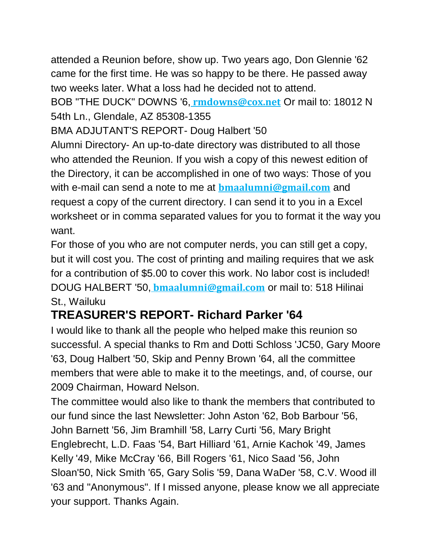attended a Reunion before, show up. Two years ago, Don Glennie '62 came for the first time. He was so happy to be there. He passed away two weeks later. What a loss had he decided not to attend.

BOB "THE DUCK" DOWNS '6, **[rmdowns@cox.net](mailto:rmdowns@cox.net)** Or mail to: 18012 N 54th Ln., Glendale, AZ 85308-1355

BMA ADJUTANT'S REPORT- Doug Halbert '50

Alumni Directory- An up-to-date directory was distributed to all those who attended the Reunion. If you wish a copy of this newest edition of the Directory, it can be accomplished in one of two ways: Those of you with e-mail can send a note to me at **[bmaalumni@gmail.com](mailto:bmaalumni@gmail.com)** and request a copy of the current directory. I can send it to you in a Excel worksheet or in comma separated values for you to format it the way you want.

For those of you who are not computer nerds, you can still get a copy, but it will cost you. The cost of printing and mailing requires that we ask for a contribution of \$5.00 to cover this work. No labor cost is included! DOUG HALBERT '50, **[bmaalumni@gmail.com](mailto:bmaalumni@gmail.com)** or mail to: 518 Hilinai St., Wailuku

## **TREASURER'S REPORT- Richard Parker '64**

I would like to thank all the people who helped make this reunion so successful. A special thanks to Rm and Dotti Schloss 'JC50, Gary Moore '63, Doug Halbert '50, Skip and Penny Brown '64, all the committee members that were able to make it to the meetings, and, of course, our 2009 Chairman, Howard Nelson.

The committee would also like to thank the members that contributed to our fund since the last Newsletter: John Aston '62, Bob Barbour '56, John Barnett '56, Jim Bramhill '58, Larry Curti '56, Mary Bright Englebrecht, L.D. Faas '54, Bart Hilliard '61, Arnie Kachok '49, James Kelly '49, Mike McCray '66, Bill Rogers '61, Nico Saad '56, John Sloan'50, Nick Smith '65, Gary Solis '59, Dana WaDer '58, C.V. Wood ill '63 and "Anonymous". If I missed anyone, please know we all appreciate your support. Thanks Again.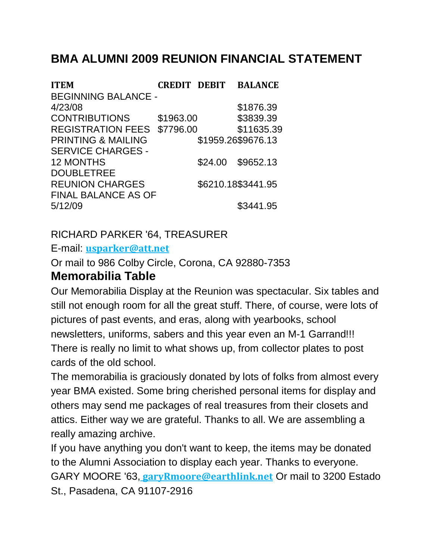### **BMA ALUMNI 2009 REUNION FINANCIAL STATEMENT**

| <b>ITEM</b>                   | <b>CREDIT DEBIT</b> |         | <b>BALANCE</b>     |
|-------------------------------|---------------------|---------|--------------------|
| <b>BEGINNING BALANCE -</b>    |                     |         |                    |
| 4/23/08                       |                     |         | \$1876.39          |
| <b>CONTRIBUTIONS</b>          | \$1963.00           |         | \$3839.39          |
| <b>REGISTRATION FEES</b>      | \$7796.00           |         | \$11635.39         |
| <b>PRINTING &amp; MAILING</b> |                     |         | \$1959.26\$9676.13 |
| <b>SERVICE CHARGES -</b>      |                     |         |                    |
| <b>12 MONTHS</b>              |                     | \$24.00 | \$9652.13          |
| <b>DOUBLETREE</b>             |                     |         |                    |
| <b>REUNION CHARGES</b>        |                     |         | \$6210.18\$3441.95 |
| <b>FINAL BALANCE AS OF</b>    |                     |         |                    |
| 5/12/09                       |                     |         | \$3441.95          |
|                               |                     |         |                    |

#### RICHARD PARKER '64, TREASURER

#### E-mail: **[usparker@att.net](mailto:usparker@att.net)**

Or mail to 986 Colby Circle, Corona, CA 92880-7353

### **Memorabilia Table**

Our Memorabilia Display at the Reunion was spectacular. Six tables and still not enough room for all the great stuff. There, of course, were lots of pictures of past events, and eras, along with yearbooks, school newsletters, uniforms, sabers and this year even an M-1 Garrand!!! There is really no limit to what shows up, from collector plates to post cards of the old school.

The memorabilia is graciously donated by lots of folks from almost every year BMA existed. Some bring cherished personal items for display and others may send me packages of real treasures from their closets and attics. Either way we are grateful. Thanks to all. We are assembling a really amazing archive.

If you have anything you don't want to keep, the items may be donated to the Alumni Association to display each year. Thanks to everyone. GARY MOORE '63, **[garyRmoore@earthlink.net](mailto:garyRmoore@earthlink.net)** Or mail to 3200 Estado St., Pasadena, CA 91107-2916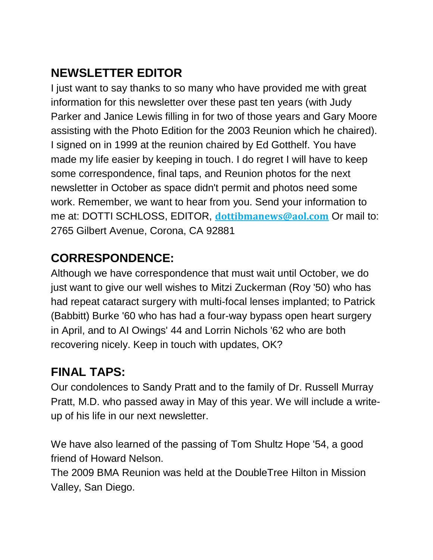# **NEWSLETTER EDITOR**

I just want to say thanks to so many who have provided me with great information for this newsletter over these past ten years (with Judy Parker and Janice Lewis filling in for two of those years and Gary Moore assisting with the Photo Edition for the 2003 Reunion which he chaired). I signed on in 1999 at the reunion chaired by Ed Gotthelf. You have made my life easier by keeping in touch. I do regret I will have to keep some correspondence, final taps, and Reunion photos for the next newsletter in October as space didn't permit and photos need some work. Remember, we want to hear from you. Send your information to me at: DOTTI SCHLOSS, EDITOR, **[dottibmanews@aol.com](mailto:dottibmanews@aol.com)** Or mail to: 2765 Gilbert Avenue, Corona, CA 92881

# **CORRESPONDENCE:**

Although we have correspondence that must wait until October, we do just want to give our well wishes to Mitzi Zuckerman (Roy '50) who has had repeat cataract surgery with multi-focal lenses implanted; to Patrick (Babbitt) Burke '60 who has had a four-way bypass open heart surgery in April, and to AI Owings' 44 and Lorrin Nichols '62 who are both recovering nicely. Keep in touch with updates, OK?

# **FINAL TAPS:**

Our condolences to Sandy Pratt and to the family of Dr. Russell Murray Pratt, M.D. who passed away in May of this year. We will include a writeup of his life in our next newsletter.

We have also learned of the passing of Tom Shultz Hope '54, a good friend of Howard Nelson.

The 2009 BMA Reunion was held at the DoubleTree Hilton in Mission Valley, San Diego.